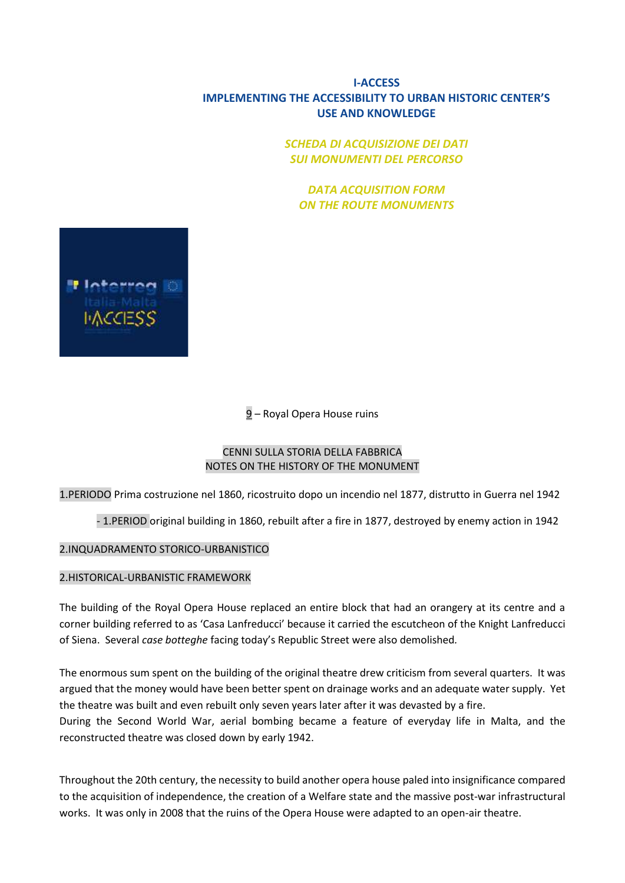# **I-ACCESS IMPLEMENTING THE ACCESSIBILITY TO URBAN HISTORIC CENTER'S USE AND KNOWLEDGE**

*SCHEDA DI ACQUISIZIONE DEI DATI SUI MONUMENTI DEL PERCORSO*

*DATA ACQUISITION FORM ON THE ROUTE MONUMENTS*



9 – Royal Opera House ruins

### CENNI SULLA STORIA DELLA FABBRICA NOTES ON THE HISTORY OF THE MONUMENT

1.PERIODO Prima costruzione nel 1860, ricostruito dopo un incendio nel 1877, distrutto in Guerra nel 1942

- 1.PERIOD original building in 1860, rebuilt after a fire in 1877, destroyed by enemy action in 1942

### 2.INQUADRAMENTO STORICO-URBANISTICO

### 2.HISTORICAL-URBANISTIC FRAMEWORK

The building of the Royal Opera House replaced an entire block that had an orangery at its centre and a corner building referred to as 'Casa Lanfreducci' because it carried the escutcheon of the Knight Lanfreducci of Siena. Several *case botteghe* facing today's Republic Street were also demolished*.*

The enormous sum spent on the building of the original theatre drew criticism from several quarters. It was argued that the money would have been better spent on drainage works and an adequate water supply. Yet the theatre was built and even rebuilt only seven years later after it was devasted by a fire. During the Second World War, aerial bombing became a feature of everyday life in Malta, and the reconstructed theatre was closed down by early 1942.

Throughout the 20th century, the necessity to build another opera house paled into insignificance compared to the acquisition of independence, the creation of a Welfare state and the massive post-war infrastructural works. It was only in 2008 that the ruins of the Opera House were adapted to an open-air theatre.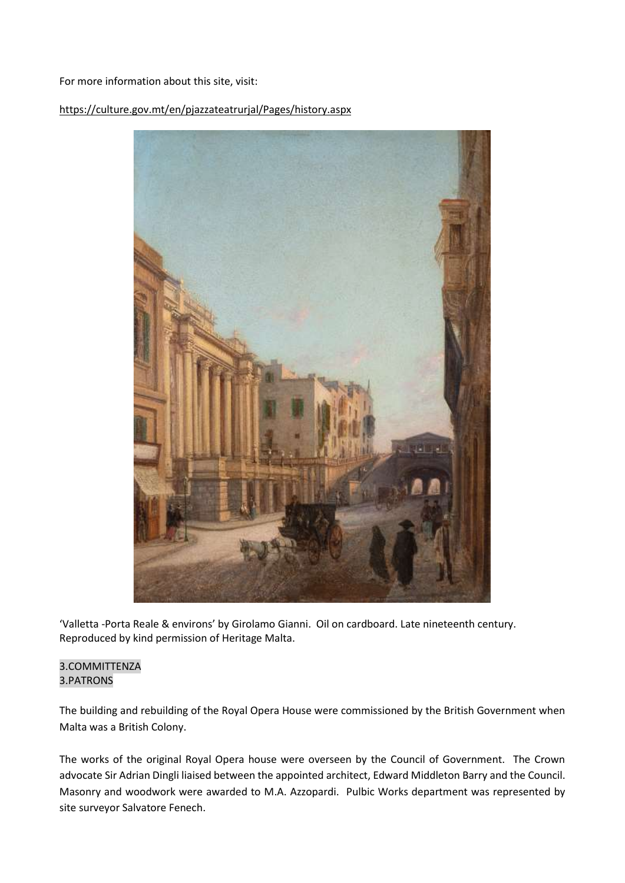#### For more information about this site, visit:

### <https://culture.gov.mt/en/pjazzateatrurjal/Pages/history.aspx>



'Valletta -Porta Reale & environs' by Girolamo Gianni. Oil on cardboard. Late nineteenth century. Reproduced by kind permission of Heritage Malta.

#### 3.COMMITTENZA 3.PATRONS

The building and rebuilding of the Royal Opera House were commissioned by the British Government when Malta was a British Colony.

The works of the original Royal Opera house were overseen by the Council of Government. The Crown advocate Sir Adrian Dingli liaised between the appointed architect, Edward Middleton Barry and the Council. Masonry and woodwork were awarded to M.A. Azzopardi. Pulbic Works department was represented by site surveyor Salvatore Fenech.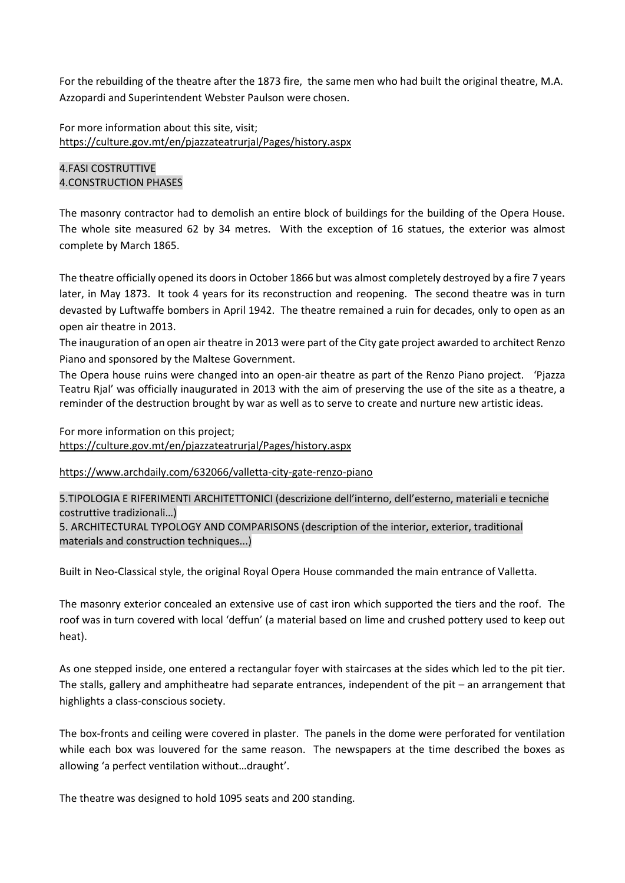For the rebuilding of the theatre after the 1873 fire, the same men who had built the original theatre, M.A. Azzopardi and Superintendent Webster Paulson were chosen.

For more information about this site, visit; <https://culture.gov.mt/en/pjazzateatrurjal/Pages/history.aspx>

### 4.FASI COSTRUTTIVE 4.CONSTRUCTION PHASES

The masonry contractor had to demolish an entire block of buildings for the building of the Opera House. The whole site measured 62 by 34 metres. With the exception of 16 statues, the exterior was almost complete by March 1865.

The theatre officially opened its doors in October 1866 but was almost completely destroyed by a fire 7 years later, in May 1873. It took 4 years for its reconstruction and reopening. The second theatre was in turn devasted by Luftwaffe bombers in April 1942. The theatre remained a ruin for decades, only to open as an open air theatre in 2013.

The inauguration of an open air theatre in 2013 were part of the City gate project awarded to architect Renzo Piano and sponsored by the Maltese Government.

The Opera house ruins were changed into an open-air theatre as part of the Renzo Piano project. 'Pjazza Teatru Rjal' was officially inaugurated in 2013 with the aim of preserving the use of the site as a theatre, a reminder of the destruction brought by war as well as to serve to create and nurture new artistic ideas.

For more information on this project; <https://culture.gov.mt/en/pjazzateatrurjal/Pages/history.aspx>

<https://www.archdaily.com/632066/valletta-city-gate-renzo-piano>

5.TIPOLOGIA E RIFERIMENTI ARCHITETTONICI (descrizione dell'interno, dell'esterno, materiali e tecniche costruttive tradizionali…) 5. ARCHITECTURAL TYPOLOGY AND COMPARISONS (description of the interior, exterior, traditional materials and construction techniques...)

Built in Neo-Classical style, the original Royal Opera House commanded the main entrance of Valletta.

The masonry exterior concealed an extensive use of cast iron which supported the tiers and the roof. The roof was in turn covered with local 'deffun' (a material based on lime and crushed pottery used to keep out heat).

As one stepped inside, one entered a rectangular foyer with staircases at the sides which led to the pit tier. The stalls, gallery and amphitheatre had separate entrances, independent of the pit – an arrangement that highlights a class-conscious society.

The box-fronts and ceiling were covered in plaster. The panels in the dome were perforated for ventilation while each box was louvered for the same reason. The newspapers at the time described the boxes as allowing 'a perfect ventilation without…draught'.

The theatre was designed to hold 1095 seats and 200 standing.